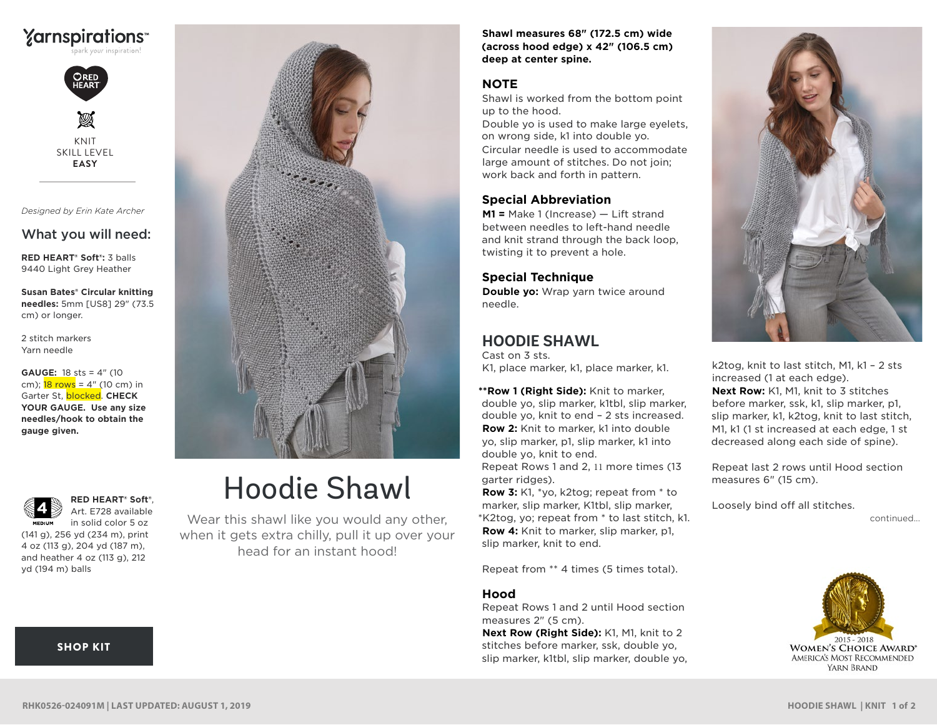



*Designed by Erin Kate Archer* 

# What you will need:

**RED HEART® Soft®:** 3 balls 9440 Light Grey Heather

**Susan Bates® Circular knitting needles:** 5mm [US8] 29" (73.5 cm) or longer.

2 stitch markers Yarn needle

**GAUGE:** 18 sts = 4" (10 cm);  $18 \text{ rows} = 4$ " (10 cm) in **Garter St,** *blocked***. CHECK YOUR GAUGE. Use any size needles/hook to obtain the gauge given.**

**RED HEART® Soft®**, Art. E728 available in solid color 5 oz **MEDIUM** 

(141 g), 256 yd (234 m), print 4 oz (113 g), 204 yd (187 m), and heather 4 oz (113 g), 212 yd (194 m) balls

[SHOP KIT](https://www.yarnspirations.com/red-heart-hoodie-shawl/RHK0526-024091M.html#utm_source=pdf-yarnspirations&utm_medium=referral&utm_campaign=pdf-RHK0526-024091M)

# Hoodie Shawl

Wear this shawl like you would any other, when it gets extra chilly, pull it up over your head for an instant hood!

**Shawl measures 68" (172.5 cm) wide (across hood edge) x 42" (106.5 cm) deep at center spine.**

# **NOTE**

Shawl is worked from the bottom point up to the hood.

Double yo is used to make large eyelets, on wrong side, k1 into double yo. Circular needle is used to accommodate large amount of stitches. Do not join; work back and forth in pattern.

# **Special Abbreviation**

**M1 =** Make 1 (Increase) — Lift strand between needles to left-hand needle and knit strand through the back loop, twisting it to prevent a hole.

**Special Technique Double yo:** Wrap yarn twice around needle.

# **HOODIE SHAWL**

Cast on 3 sts. K1, place marker, k1, place marker, k1.

**\*\*Row 1 (Right Side):** Knit to marker, double yo, slip marker, k1tbl, slip marker, double yo, knit to end – 2 sts increased. **Row 2:** Knit to marker, k1 into double yo, slip marker, p1, slip marker, k1 into double yo, knit to end. Repeat Rows 1 and 2, 11 more times (13 garter ridges).

**Row 3:** K1, \*yo, k2tog; repeat from \* to marker, slip marker, K1tbl, slip marker, \*K2tog, yo; repeat from \* to last stitch, k1. **Row 4:** Knit to marker, slip marker, p1, slip marker, knit to end.

Repeat from \*\* 4 times (5 times total).

# **Hood**

Repeat Rows 1 and 2 until Hood section measures 2" (5 cm).

**Next Row (Right Side):** K1, M1, knit to 2 stitches before marker, ssk, double yo, slip marker, k1tbl, slip marker, double yo,



k2tog, knit to last stitch, M1, k1 – 2 sts increased (1 at each edge). **Next Row:** K1, M1, knit to 3 stitches before marker, ssk, k1, slip marker, p1, slip marker, k1, k2tog, knit to last stitch, M1, k1 (1 st increased at each edge, 1 st decreased along each side of spine).

Repeat last 2 rows until Hood section measures 6" (15 cm).

Loosely bind off all stitches.

continued...